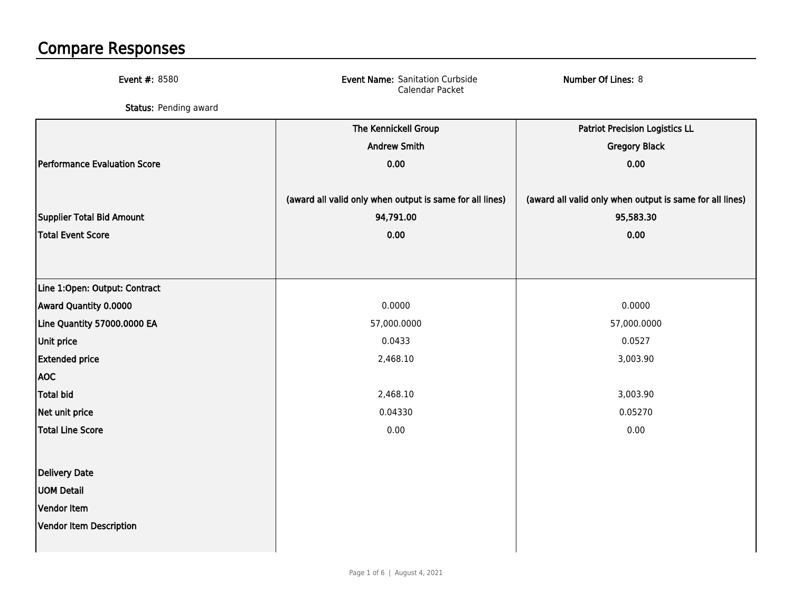## Compare Responses

| <b>Event #: 8580</b>          | Event Name: Sanitation Curbside<br>Calendar Packet       | Number Of Lines: 8                                       |
|-------------------------------|----------------------------------------------------------|----------------------------------------------------------|
| Status: Pending award         |                                                          |                                                          |
|                               | The Kennickell Group                                     | <b>Patriot Precision Logistics LL</b>                    |
|                               | <b>Andrew Smith</b>                                      | <b>Gregory Black</b>                                     |
| Performance Evaluation Score  | 0.00                                                     | 0.00                                                     |
|                               |                                                          |                                                          |
|                               | (award all valid only when output is same for all lines) | (award all valid only when output is same for all lines) |
| Supplier Total Bid Amount     | 94,791.00                                                | 95,583.30                                                |
| <b>Total Event Score</b>      | 0.00                                                     | 0.00                                                     |
|                               |                                                          |                                                          |
| Line 1:Open: Output: Contract |                                                          |                                                          |
| <b>Award Quantity 0.0000</b>  | 0.0000                                                   | 0.0000                                                   |
| Line Quantity 57000.0000 EA   | 57,000.0000                                              | 57,000.0000                                              |
| Unit price                    | 0.0433                                                   | 0.0527                                                   |
| <b>Extended price</b>         | 2,468.10                                                 | 3,003.90                                                 |
| <b>AOC</b>                    |                                                          |                                                          |
| <b>Total bid</b>              | 2,468.10                                                 | 3,003.90                                                 |
| Net unit price                | 0.04330                                                  | 0.05270                                                  |
| <b>Total Line Score</b>       | 0.00                                                     | 0.00                                                     |
|                               |                                                          |                                                          |
| <b>Delivery Date</b>          |                                                          |                                                          |
| <b>UOM Detail</b>             |                                                          |                                                          |
| Vendor Item                   |                                                          |                                                          |
| Vendor Item Description       |                                                          |                                                          |
|                               |                                                          |                                                          |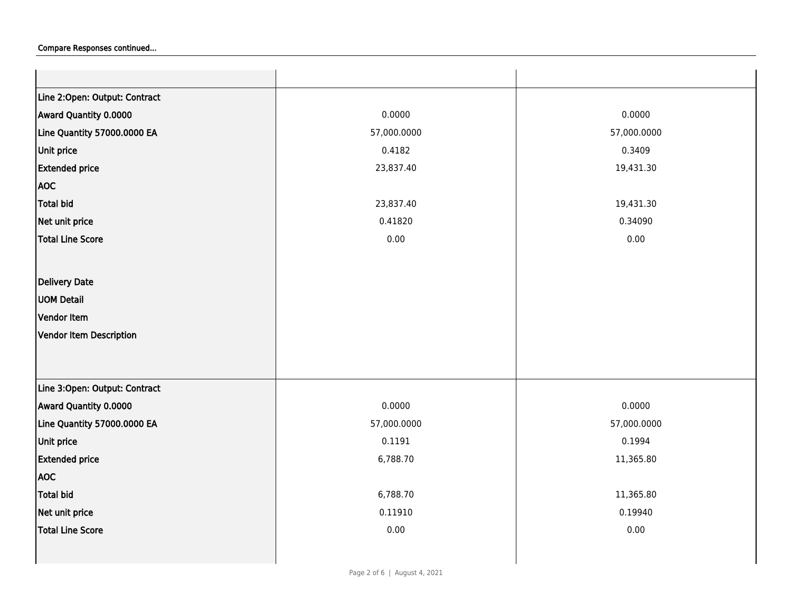## Compare Responses continued...

| Line 2:Open: Output: Contract |             |             |
|-------------------------------|-------------|-------------|
| Award Quantity 0.0000         | 0.0000      | 0.0000      |
| Line Quantity 57000.0000 EA   | 57,000.0000 | 57,000.0000 |
| Unit price                    | 0.4182      | 0.3409      |
| <b>Extended price</b>         | 23,837.40   | 19,431.30   |
| <b>AOC</b>                    |             |             |
| Total bid                     | 23,837.40   | 19,431.30   |
| Net unit price                | 0.41820     | 0.34090     |
| Total Line Score              | 0.00        | 0.00        |
|                               |             |             |
| Delivery Date                 |             |             |
| <b>UOM Detail</b>             |             |             |
| Vendor Item                   |             |             |
| Vendor Item Description       |             |             |
|                               |             |             |
|                               |             |             |
| Line 3:Open: Output: Contract |             |             |
| Award Quantity 0.0000         | 0.0000      | 0.0000      |
| Line Quantity 57000.0000 EA   | 57,000.0000 | 57,000.0000 |
| Unit price                    | 0.1191      | 0.1994      |
| <b>Extended price</b>         | 6,788.70    | 11,365.80   |
| <b>AOC</b>                    |             |             |
| <b>Total bid</b>              | 6,788.70    | 11,365.80   |
| Net unit price                | 0.11910     | 0.19940     |
| Total Line Score              | 0.00        | 0.00        |
|                               |             |             |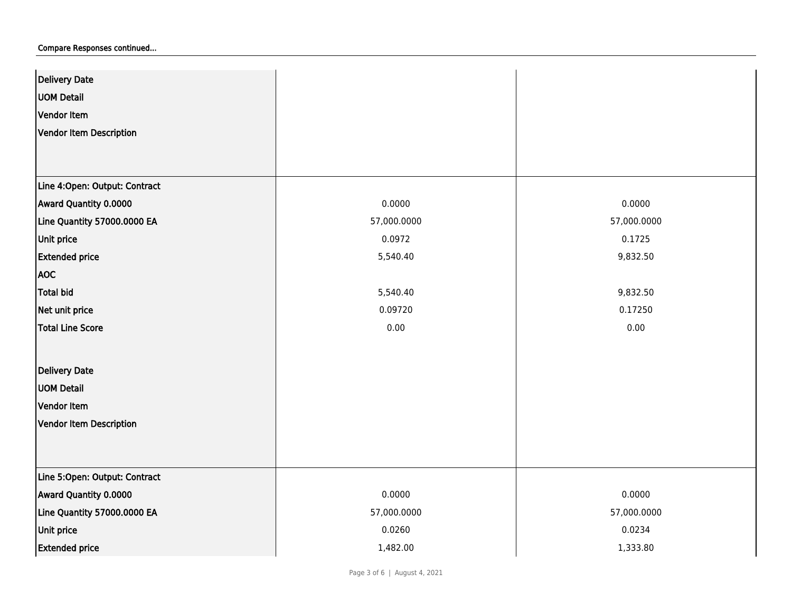| Delivery Date                  |             |             |
|--------------------------------|-------------|-------------|
| <b>UOM Detail</b>              |             |             |
| Vendor Item                    |             |             |
| <b>Vendor Item Description</b> |             |             |
|                                |             |             |
|                                |             |             |
| Line 4:Open: Output: Contract  |             |             |
| Award Quantity 0.0000          | 0.0000      | 0.0000      |
| Line Quantity 57000.0000 EA    | 57,000.0000 | 57,000.0000 |
| Unit price                     | 0.0972      | 0.1725      |
| <b>Extended price</b>          | 5,540.40    | 9,832.50    |
| <b>AOC</b>                     |             |             |
| <b>Total bid</b>               | 5,540.40    | 9,832.50    |
| Net unit price                 | 0.09720     | 0.17250     |
| <b>Total Line Score</b>        | $0.00\,$    | 0.00        |
| Delivery Date                  |             |             |
| <b>UOM Detail</b>              |             |             |
| Vendor Item                    |             |             |
| Vendor Item Description        |             |             |
|                                |             |             |
|                                |             |             |
| Line 5:Open: Output: Contract  |             |             |
| Award Quantity 0.0000          | 0.0000      | 0.0000      |
| Line Quantity 57000.0000 EA    | 57,000.0000 | 57,000.0000 |
| <b>Unit price</b>              | 0.0260      | 0.0234      |
| <b>Extended price</b>          | 1,482.00    | 1,333.80    |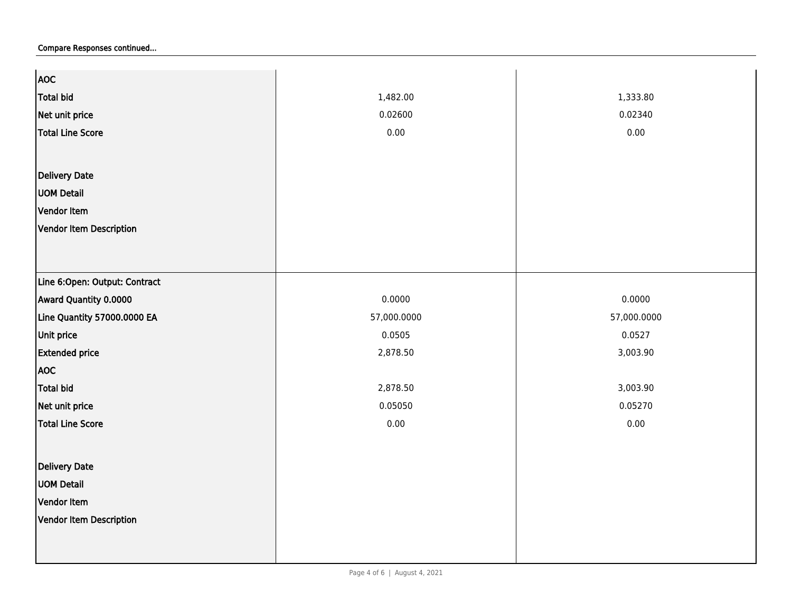Compare Responses continued...

| <b>AOC</b>                     |             |             |
|--------------------------------|-------------|-------------|
| <b>Total bid</b>               | 1,482.00    | 1,333.80    |
| Net unit price                 | 0.02600     | 0.02340     |
| <b>Total Line Score</b>        | 0.00        | 0.00        |
|                                |             |             |
| <b>Delivery Date</b>           |             |             |
|                                |             |             |
| <b>UOM Detail</b>              |             |             |
| Vendor Item                    |             |             |
| Vendor Item Description        |             |             |
|                                |             |             |
|                                |             |             |
| Line 6:Open: Output: Contract  |             |             |
| Award Quantity 0.0000          | 0.0000      | 0.0000      |
| Line Quantity 57000.0000 EA    | 57,000.0000 | 57,000.0000 |
| Unit price                     | 0.0505      | 0.0527      |
| <b>Extended price</b>          | 2,878.50    | 3,003.90    |
| <b>AOC</b>                     |             |             |
| <b>Total bid</b>               | 2,878.50    | 3,003.90    |
| Net unit price                 | 0.05050     | 0.05270     |
| <b>Total Line Score</b>        | 0.00        | 0.00        |
|                                |             |             |
| <b>Delivery Date</b>           |             |             |
| <b>UOM Detail</b>              |             |             |
|                                |             |             |
| Vendor Item                    |             |             |
| <b>Vendor Item Description</b> |             |             |
|                                |             |             |
|                                |             |             |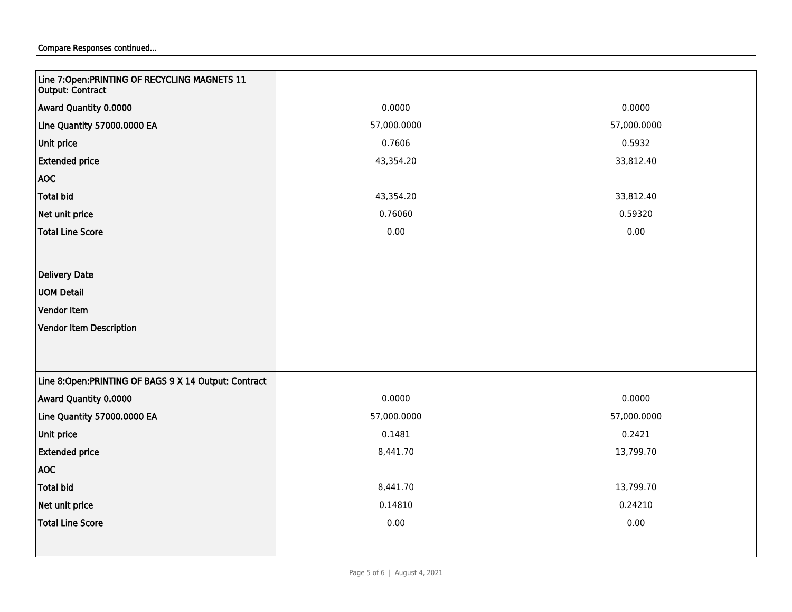| Line 7: Open: PRINTING OF RECYCLING MAGNETS 11<br>Output: Contract |             |             |
|--------------------------------------------------------------------|-------------|-------------|
| Award Quantity 0.0000                                              | 0.0000      | 0.0000      |
| Line Quantity 57000.0000 EA                                        | 57,000.0000 | 57,000.0000 |
| Unit price                                                         | 0.7606      | 0.5932      |
| <b>Extended price</b>                                              | 43,354.20   | 33,812.40   |
| <b>AOC</b>                                                         |             |             |
| <b>Total bid</b>                                                   | 43,354.20   | 33,812.40   |
| Net unit price                                                     | 0.76060     | 0.59320     |
| <b>Total Line Score</b>                                            | 0.00        | 0.00        |
|                                                                    |             |             |
| <b>Delivery Date</b>                                               |             |             |
| <b>UOM Detail</b>                                                  |             |             |
| <b>Vendor Item</b>                                                 |             |             |
| <b>Vendor Item Description</b>                                     |             |             |
|                                                                    |             |             |
|                                                                    |             |             |
| Line 8:Open: PRINTING OF BAGS 9 X 14 Output: Contract              |             |             |
| Award Quantity 0.0000                                              | 0.0000      | 0.0000      |
| Line Quantity 57000.0000 EA                                        | 57,000.0000 | 57,000.0000 |
| Unit price                                                         | 0.1481      | 0.2421      |
| <b>Extended price</b>                                              | 8,441.70    | 13,799.70   |
| <b>AOC</b>                                                         |             |             |
| <b>Total bid</b>                                                   | 8,441.70    | 13,799.70   |
| Net unit price                                                     | 0.14810     | 0.24210     |
| <b>Total Line Score</b>                                            | 0.00        | 0.00        |
|                                                                    |             |             |